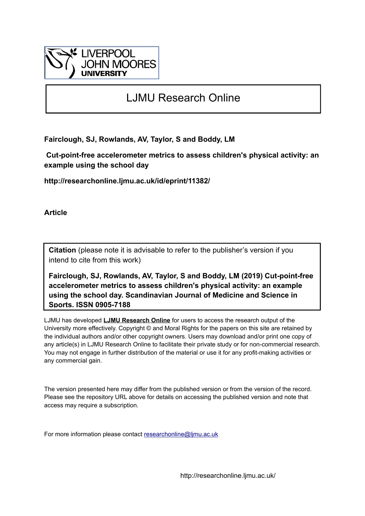

# LJMU Research Online

**Fairclough, SJ, Rowlands, AV, Taylor, S and Boddy, LM**

 **Cut-point-free accelerometer metrics to assess children's physical activity: an example using the school day**

**http://researchonline.ljmu.ac.uk/id/eprint/11382/**

**Article**

**Citation** (please note it is advisable to refer to the publisher's version if you intend to cite from this work)

**Fairclough, SJ, Rowlands, AV, Taylor, S and Boddy, LM (2019) Cut-point-free accelerometer metrics to assess children's physical activity: an example using the school day. Scandinavian Journal of Medicine and Science in Sports. ISSN 0905-7188** 

LJMU has developed **[LJMU Research Online](http://researchonline.ljmu.ac.uk/)** for users to access the research output of the University more effectively. Copyright © and Moral Rights for the papers on this site are retained by the individual authors and/or other copyright owners. Users may download and/or print one copy of any article(s) in LJMU Research Online to facilitate their private study or for non-commercial research. You may not engage in further distribution of the material or use it for any profit-making activities or any commercial gain.

The version presented here may differ from the published version or from the version of the record. Please see the repository URL above for details on accessing the published version and note that access may require a subscription.

For more information please contact [researchonline@ljmu.ac.uk](mailto:researchonline@ljmu.ac.uk)

http://researchonline.ljmu.ac.uk/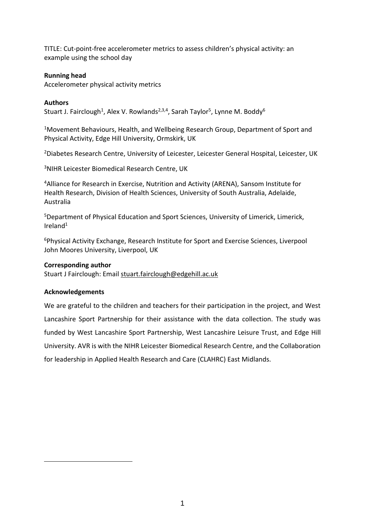TITLE: Cut-point-free accelerometer metrics to assess children's physical activity: an example using the school day

# **Running head**

Accelerometer physical activity metrics

# **Authors**

Stuart J. Fairclough<sup>1</sup>, Alex V. Rowlands<sup>2,3,4</sup>, Sarah Taylor<sup>5</sup>, Lynne M. Boddy<sup>6</sup>

<sup>1</sup>Movement Behaviours, Health, and Wellbeing Research Group, Department of Sport and Physical Activity, Edge Hill University, Ormskirk, UK

<sup>2</sup>Diabetes Research Centre, University of Leicester, Leicester General Hospital, Leicester, UK

<sup>3</sup>NIHR Leicester Biomedical Research Centre, UK

<sup>4</sup>Alliance for Research in Exercise, Nutrition and Activity (ARENA), Sansom Institute for Health Research, Division of Health Sciences, University of South Australia, Adelaide, Australia

<sup>5</sup>Department of Physical Education and Sport Sciences, University of Limerick, Limerick, Ireland<sup>1</sup>

<sup>6</sup>Physical Activity Exchange, Research Institute for Sport and Exercise Sciences, Liverpool John Moores University, Liverpool, UK

# **Corresponding author**

Stuart J Fairclough: Email [stuart.fairclough@edgehill.ac.uk](mailto:stuart.fairclough@edgehill.ac.uk) 

# **Acknowledgements**

1

We are grateful to the children and teachers for their participation in the project, and West Lancashire Sport Partnership for their assistance with the data collection. The study was funded by West Lancashire Sport Partnership, West Lancashire Leisure Trust, and Edge Hill University. AVR is with the NIHR Leicester Biomedical Research Centre, and the Collaboration for leadership in Applied Health Research and Care (CLAHRC) East Midlands.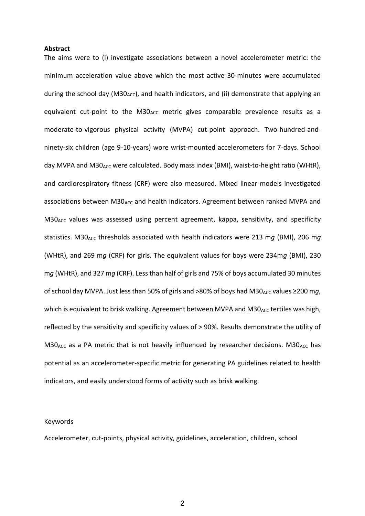#### **Abstract**

The aims were to (i) investigate associations between a novel accelerometer metric: the minimum acceleration value above which the most active 30-minutes were accumulated during the school day (M30<sub>ACC</sub>), and health indicators, and (ii) demonstrate that applying an equivalent cut-point to the M30 $_{ACC}$  metric gives comparable prevalence results as a moderate-to-vigorous physical activity (MVPA) cut-point approach. Two-hundred-andninety-six children (age 9-10-years) wore wrist-mounted accelerometers for 7-days. School day MVPA and M30<sub>ACC</sub> were calculated. Body mass index (BMI), waist-to-height ratio (WHtR), and cardiorespiratory fitness (CRF) were also measured. Mixed linear models investigated associations between  $M30_{AC}$  and health indicators. Agreement between ranked MVPA and  $M30<sub>ACC</sub>$  values was assessed using percent agreement, kappa, sensitivity, and specificity statistics. M30<sub>ACC</sub> thresholds associated with health indicators were 213 mg (BMI), 206 mg (WHtR), and 269 m*g* (CRF) for girls. The equivalent values for boys were 234m*g* (BMI), 230 m*g* (WHtR), and 327 m*g* (CRF). Less than half of girls and 75% of boys accumulated 30 minutes of school day MVPA. Just less than 50% of girls and >80% of boys had M30<sub>ACC</sub> values ≥200 mg, which is equivalent to brisk walking. Agreement between MVPA and  $M30<sub>ACC</sub>$  tertiles was high, reflected by the sensitivity and specificity values of > 90%. Results demonstrate the utility of  $M30_{ACC}$  as a PA metric that is not heavily influenced by researcher decisions. M30 $_{ACC}$  has potential as an accelerometer-specific metric for generating PA guidelines related to health indicators, and easily understood forms of activity such as brisk walking.

#### Keywords

Accelerometer, cut-points, physical activity, guidelines, acceleration, children, school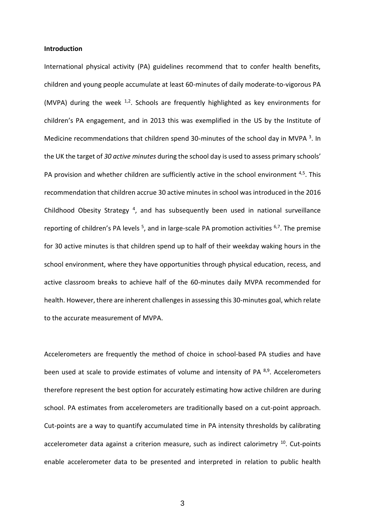#### **Introduction**

International physical activity (PA) guidelines recommend that to confer health benefits, children and young people accumulate at least 60-minutes of daily moderate-to-vigorous PA (MVPA) during the week  $^{1,2}$ . Schools are frequently highlighted as key environments for children's PA engagement, and in 2013 this was exemplified in the US by the Institute of Medicine recommendations that children spend 30-minutes of the school day in MVPA <sup>3</sup>. In the UK the target of *30 active minutes* during the school day is used to assess primary schools' PA provision and whether children are sufficiently active in the school environment <sup>4,5</sup>. This recommendation that children accrue 30 active minutes in school was introduced in the 2016 Childhood Obesity Strategy<sup>4</sup>, and has subsequently been used in national surveillance reporting of children's PA levels  $5$ , and in large-scale PA promotion activities  $6,7$ . The premise for 30 active minutes is that children spend up to half of their weekday waking hours in the school environment, where they have opportunities through physical education, recess, and active classroom breaks to achieve half of the 60-minutes daily MVPA recommended for health. However, there are inherent challenges in assessing this 30-minutes goal, which relate to the accurate measurement of MVPA.

Accelerometers are frequently the method of choice in school-based PA studies and have been used at scale to provide estimates of volume and intensity of PA  $8.9$ . Accelerometers therefore represent the best option for accurately estimating how active children are during school. PA estimates from accelerometers are traditionally based on a cut-point approach. Cut-points are a way to quantify accumulated time in PA intensity thresholds by calibrating accelerometer data against a criterion measure, such as indirect calorimetry <sup>10</sup>. Cut-points enable accelerometer data to be presented and interpreted in relation to public health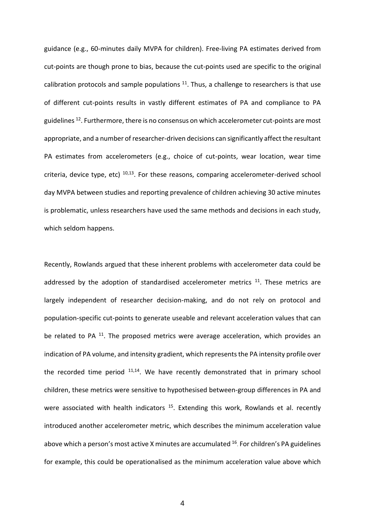guidance (e.g., 60-minutes daily MVPA for children). Free-living PA estimates derived from cut-points are though prone to bias, because the cut-points used are specific to the original calibration protocols and sample populations  $11$ . Thus, a challenge to researchers is that use of different cut-points results in vastly different estimates of PA and compliance to PA guidelines <sup>12</sup>. Furthermore, there is no consensus on which accelerometer cut-points are most appropriate, and a number of researcher-driven decisions can significantly affect the resultant PA estimates from accelerometers (e.g., choice of cut-points, wear location, wear time criteria, device type, etc)  $10,13$ . For these reasons, comparing accelerometer-derived school day MVPA between studies and reporting prevalence of children achieving 30 active minutes is problematic, unless researchers have used the same methods and decisions in each study, which seldom happens.

Recently, Rowlands argued that these inherent problems with accelerometer data could be addressed by the adoption of standardised accelerometer metrics  $11$ . These metrics are largely independent of researcher decision-making, and do not rely on protocol and population-specific cut-points to generate useable and relevant acceleration values that can be related to PA <sup>11</sup>. The proposed metrics were average acceleration, which provides an indication of PA volume, and intensity gradient, which represents the PA intensity profile over the recorded time period  $11,14$ . We have recently demonstrated that in primary school children, these metrics were sensitive to hypothesised between-group differences in PA and were associated with health indicators <sup>15</sup>. Extending this work, Rowlands et al. recently introduced another accelerometer metric, which describes the minimum acceleration value above which a person's most active X minutes are accumulated <sup>16</sup>. For children's PA guidelines for example, this could be operationalised as the minimum acceleration value above which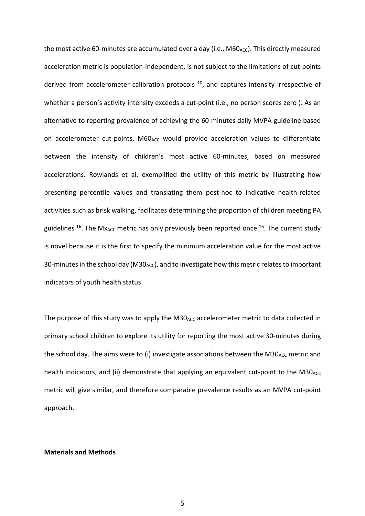the most active 60-minutes are accumulated over a day (i.e., M60<sub>ACC</sub>). This directly measured acceleration metric is population-independent, is not subject to the limitations of cut-points derived from accelerometer calibration protocols  $10$ , and captures intensity irrespective of whether a person's activity intensity exceeds a cut-point (i.e., no person scores zero). As an alternative to reporting prevalence of achieving the 60-minutes daily MVPA guideline based on accelerometer cut-points,  $M60_{\text{ACC}}$  would provide acceleration values to differentiate between the intensity of children's most active 60-minutes, based on measured accelerations. Rowlands et al. exemplified the utility of this metric by illustrating how presenting percentile values and translating them post-hoc to indicative health-related activities such as brisk walking, facilitates determining the proportion of children meeting PA guidelines <sup>16</sup>. The Mx<sub>ACC</sub> metric has only previously been reported once <sup>16</sup>. The current study is novel because it is the first to specify the minimum acceleration value for the most active 30-minutes in the school day (M30<sub>ACC</sub>), and to investigate how this metric relates to important indicators of youth health status.

The purpose of this study was to apply the  $M30<sub>ACC</sub>$  accelerometer metric to data collected in primary school children to explore its utility for reporting the most active 30-minutes during the school day. The aims were to (i) investigate associations between the  $M30_{\text{ACC}}$  metric and health indicators, and (ii) demonstrate that applying an equivalent cut-point to the M30<sub>ACC</sub> metric will give similar, and therefore comparable prevalence results as an MVPA cut-point approach.

## **Materials and Methods**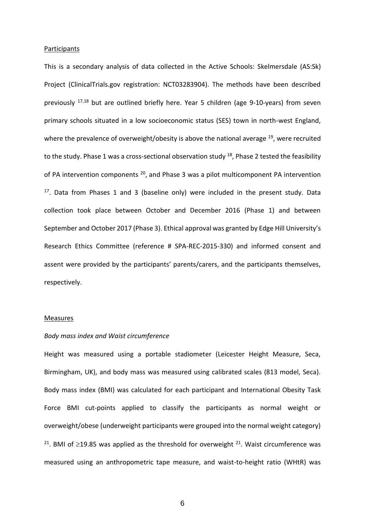#### **Participants**

This is a secondary analysis of data collected in the Active Schools: Skelmersdale (AS:Sk) Project (ClinicalTrials.gov registration: NCT03283904). The methods have been described previously  $17,18$  but are outlined briefly here. Year 5 children (age 9-10-years) from seven primary schools situated in a low socioeconomic status (SES) town in north-west England, where the prevalence of overweight/obesity is above the national average <sup>19</sup>, were recruited to the study. Phase 1 was a cross-sectional observation study  $^{18}$ , Phase 2 tested the feasibility of PA intervention components <sup>20</sup>, and Phase 3 was a pilot multicomponent PA intervention  $17$ . Data from Phases 1 and 3 (baseline only) were included in the present study. Data collection took place between October and December 2016 (Phase 1) and between September and October 2017 (Phase 3). Ethical approval was granted by Edge Hill University's Research Ethics Committee (reference # SPA-REC-2015-330) and informed consent and assent were provided by the participants' parents/carers, and the participants themselves, respectively.

#### **Measures**

## *Body mass index and Waist circumference*

Height was measured using a portable stadiometer (Leicester Height Measure, Seca, Birmingham, UK), and body mass was measured using calibrated scales (813 model, Seca). Body mass index (BMI) was calculated for each participant and International Obesity Task Force BMI cut-points applied to classify the participants as normal weight or overweight/obese (underweight participants were grouped into the normal weight category) <sup>21</sup>. BMI of  $\geq$ 19.85 was applied as the threshold for overweight <sup>21</sup>. Waist circumference was measured using an anthropometric tape measure, and waist-to-height ratio (WHtR) was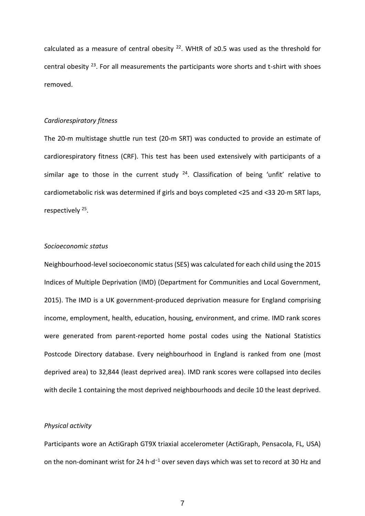calculated as a measure of central obesity <sup>22</sup>. WHtR of  $\geq$ 0.5 was used as the threshold for central obesity  $^{23}$ . For all measurements the participants wore shorts and t-shirt with shoes removed.

### *Cardiorespiratory fitness*

The 20-m multistage shuttle run test (20-m SRT) was conducted to provide an estimate of cardiorespiratory fitness (CRF). This test has been used extensively with participants of a similar age to those in the current study  $24$ . Classification of being 'unfit' relative to cardiometabolic risk was determined if girls and boys completed <25 and <33 20-m SRT laps, respectively<sup>25</sup>.

# *Socioeconomic status*

Neighbourhood-level socioeconomic status (SES) was calculated for each child using the 2015 Indices of Multiple Deprivation (IMD) (Department for Communities and Local Government, 2015). The IMD is a UK government-produced deprivation measure for England comprising income, employment, health, education, housing, environment, and crime. IMD rank scores were generated from parent-reported home postal codes using the National Statistics Postcode Directory database. Every neighbourhood in England is ranked from one (most deprived area) to 32,844 (least deprived area). IMD rank scores were collapsed into deciles with decile 1 containing the most deprived neighbourhoods and decile 10 the least deprived.

## *Physical activity*

Participants wore an ActiGraph GT9X triaxial accelerometer (ActiGraph, Pensacola, FL, USA) on the non-dominant wrist for 24 h·d<sup>−</sup><sup>1</sup> over seven days which was set to record at 30 Hz and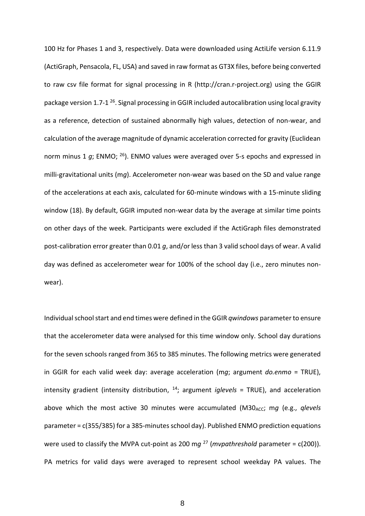100 Hz for Phases 1 and 3, respectively. Data were downloaded using ActiLife version 6.11.9 (ActiGraph, Pensacola, FL, USA) and saved in raw format as GT3X files, before being converted to raw csv file format for signal processing in R (http://cran.r-project.org) using the GGIR package version 1.7-1<sup>26</sup>. Signal processing in GGIR included autocalibration using local gravity as a reference, detection of sustained abnormally high values, detection of non-wear, and calculation of the average magnitude of dynamic acceleration corrected for gravity (Euclidean norm minus 1 *g*; ENMO; <sup>26</sup>). ENMO values were averaged over 5-s epochs and expressed in milli-gravitational units (m*g*). Accelerometer non-wear was based on the SD and value range of the accelerations at each axis, calculated for 60-minute windows with a 15-minute sliding window (18). By default, GGIR imputed non-wear data by the average at similar time points on other days of the week. Participants were excluded if the ActiGraph files demonstrated post-calibration error greater than 0.01 *g*, and/or less than 3 valid school days of wear. A valid day was defined as accelerometer wear for 100% of the school day (i.e., zero minutes nonwear).

Individual school start and end times were defined in the GGIR *qwindows* parameter to ensure that the accelerometer data were analysed for this time window only. School day durations for the seven schools ranged from 365 to 385 minutes. The following metrics were generated in GGIR for each valid week day: average acceleration (m*g*; argument *do.enmo* = TRUE), intensity gradient (intensity distribution, <sup>14</sup>; argument *iglevels* = TRUE), and acceleration above which the most active 30 minutes were accumulated (M30<sub>ACC</sub>; mq (e.g., *qlevels* parameter = c(355/385) for a 385-minutes school day). Published ENMO prediction equations were used to classify the MVPA cut-point as 200 m*g* <sup>27</sup> (*mvpathreshold* parameter = c(200)). PA metrics for valid days were averaged to represent school weekday PA values. The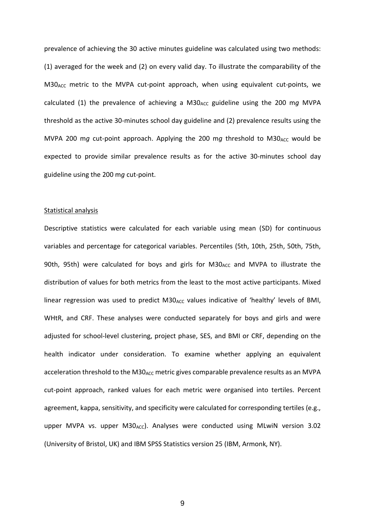prevalence of achieving the 30 active minutes guideline was calculated using two methods: (1) averaged for the week and (2) on every valid day. To illustrate the comparability of the M30<sub>ACC</sub> metric to the MVPA cut-point approach, when using equivalent cut-points, we calculated (1) the prevalence of achieving a M30<sub>ACC</sub> guideline using the 200 mg MVPA threshold as the active 30-minutes school day guideline and (2) prevalence results using the MVPA 200 mg cut-point approach. Applying the 200 mg threshold to M30<sub>ACC</sub> would be expected to provide similar prevalence results as for the active 30-minutes school day guideline using the 200 m*g* cut-point.

#### Statistical analysis

Descriptive statistics were calculated for each variable using mean (SD) for continuous variables and percentage for categorical variables. Percentiles (5th, 10th, 25th, 50th, 75th, 90th, 95th) were calculated for boys and girls for M30<sub>ACC</sub> and MVPA to illustrate the distribution of values for both metrics from the least to the most active participants. Mixed linear regression was used to predict  $M30_{ACC}$  values indicative of 'healthy' levels of BMI, WHtR, and CRF. These analyses were conducted separately for boys and girls and were adjusted for school-level clustering, project phase, SES, and BMI or CRF, depending on the health indicator under consideration. To examine whether applying an equivalent acceleration threshold to the M30<sub>ACC</sub> metric gives comparable prevalence results as an MVPA cut-point approach, ranked values for each metric were organised into tertiles. Percent agreement, kappa, sensitivity, and specificity were calculated for corresponding tertiles (e.g., upper MVPA vs. upper M30<sub>ACC</sub>). Analyses were conducted using MLwiN version 3.02 (University of Bristol, UK) and IBM SPSS Statistics version 25 (IBM, Armonk, NY).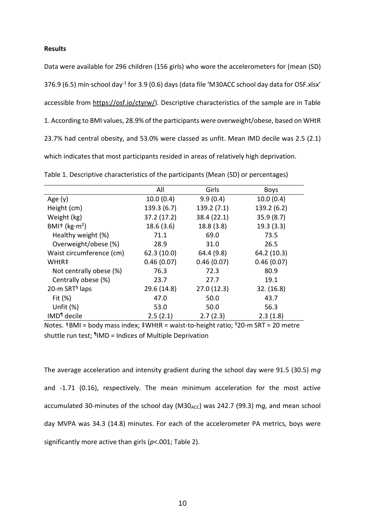**Results**

Data were available for 296 children (156 girls) who wore the accelerometers for (mean (SD) 376.9 (6.5) min∙school day<sup>-1</sup> for 3.9 (0.6) days (data file 'M30ACC school day data for OSF.xlsx' accessible from [https://osf.io/ctyrw/\)](https://osf.io/ctyrw/). Descriptive characteristics of the sample are in Table 1. According to BMI values, 28.9% of the participants were overweight/obese, based on WHtR 23.7% had central obesity, and 53.0% were classed as unfit. Mean IMD decile was 2.5 (2.1) which indicates that most participants resided in areas of relatively high deprivation.

|                                       | All         | Girls       | <b>Boys</b> |
|---------------------------------------|-------------|-------------|-------------|
| Age $(y)$                             | 10.0(0.4)   | 9.9(0.4)    | 10.0(0.4)   |
| Height (cm)                           | 139.3(6.7)  | 139.2(7.1)  | 139.2 (6.2) |
| Weight (kg)                           | 37.2 (17.2) | 38.4 (22.1) | 35.9(8.7)   |
| BMI <sup>+</sup> (kg·m <sup>2</sup> ) | 18.6(3.6)   | 18.8 (3.8)  | 19.3(3.3)   |
| Healthy weight (%)                    | 71.1        | 69.0        | 73.5        |
| Overweight/obese (%)                  | 28.9        | 31.0        | 26.5        |
| Waist circumference (cm)              | 62.3(10.0)  | 64.4 (9.8)  | 64.2 (10.3) |
| WHtR‡                                 | 0.46(0.07)  | 0.46(0.07)  | 0.46(0.07)  |
| Not centrally obese (%)               | 76.3        | 72.3        | 80.9        |
| Centrally obese (%)                   | 23.7        | 27.7        | 19.1        |
| 20-m SRT $§$ laps                     | 29.6 (14.8) | 27.0(12.3)  | 32. (16.8)  |
| Fit $(\%)$                            | 47.0        | 50.0        | 43.7        |
| Unfit $(\%)$                          | 53.0        | 50.0        | 56.3        |
| IMD <sup>1</sup> decile               | 2.5(2.1)    | 2.7(2.3)    | 2.3(1.8)    |

Table 1. Descriptive characteristics of the participants (Mean (SD) or percentages)

Notes.  $\text{\texttt{tBMI}} = \text{body mass index}$ ;  $\text{\texttt{tWHtR}} = \text{waist-to-height ratio}$ ;  $\text{\texttt{s20-m SRT}} = 20$  metre shuttle run test; ¶ IMD = Indices of Multiple Deprivation

The average acceleration and intensity gradient during the school day were 91.5 (30.5) m*g* and -1.71 (0.16), respectively. The mean minimum acceleration for the most active accumulated 30-minutes of the school day (M30<sub>ACC</sub>) was 242.7 (99.3) mq, and mean school day MVPA was 34.3 (14.8) minutes. For each of the accelerometer PA metrics, boys were significantly more active than girls (*p*<.001; Table 2).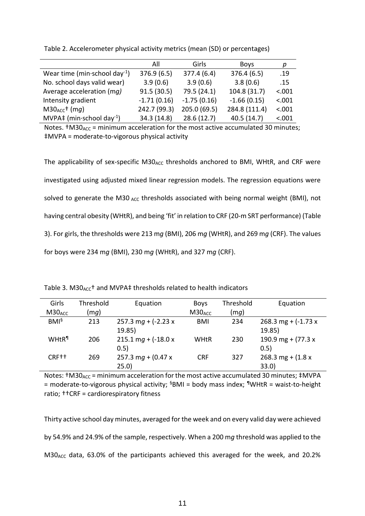|                                           | All           | Girls         | <b>Boys</b>   | р      |
|-------------------------------------------|---------------|---------------|---------------|--------|
| Wear time (min school day <sup>-1</sup> ) | 376.9(6.5)    | 377.4 (6.4)   | 376.4 (6.5)   | .19    |
| No. school days valid wear)               | 3.9(0.6)      | 3.9(0.6)      | 3.8(0.6)      | .15    |
| Average acceleration (mg)                 | 91.5(30.5)    | 79.5 (24.1)   | 104.8 (31.7)  | < .001 |
| Intensity gradient                        | $-1.71(0.16)$ | $-1.75(0.16)$ | $-1.66(0.15)$ | < .001 |
| $M30_{ACC}$ <sup>+</sup> (mg)             | 242.7 (99.3)  | 205.0 (69.5)  | 284.8 (111.4) | < .001 |
| MVPA‡ (min·school day <sup>-1</sup> )     | 34.3 (14.8)   | 28.6(12.7)    | 40.5(14.7)    | < .001 |

Table 2. Accelerometer physical activity metrics (mean (SD) or percentages)

Notes.  $†M30_{ACC}$  = minimum acceleration for the most active accumulated 30 minutes; ‡MVPA = moderate-to-vigorous physical activity

The applicability of sex-specific  $M30_{ACC}$  thresholds anchored to BMI, WHtR, and CRF were investigated using adjusted mixed linear regression models. The regression equations were solved to generate the M30  $_{ACC}$  thresholds associated with being normal weight (BMI), not having central obesity (WHtR), and being 'fit' in relation to CRF (20-m SRT performance) (Table 3). For girls, the thresholds were 213 m*g* (BMI), 206 m*g* (WHtR), and 269 m*g* (CRF). The values for boys were 234 m*g* (BMI), 230 m*g* (WHtR), and 327 m*g* (CRF).

| Girls                    | Threshold | Equation               | <b>Boys</b>        | Threshold | Equation               |
|--------------------------|-----------|------------------------|--------------------|-----------|------------------------|
| M30 <sub>ACC</sub>       | (mg)      |                        | M30 <sub>ACC</sub> | (mg)      |                        |
| $BMI^{\S}$               | 213       | 257.3 mg + $(-2.23 x)$ | <b>BMI</b>         | 234       | 268.3 mg + $(-1.73 x)$ |
|                          |           | 19.85                  |                    |           | 19.85                  |
| <b>WHtR</b> <sup>1</sup> | 206       | 215.1 mg + $(-18.0 x)$ | WHtR               | 230       | 190.9 mg + $(77.3 x)$  |
|                          |           | (0.5)                  |                    |           | 0.5)                   |
| CRF <sup>++</sup>        | 269       | 257.3 mg + $(0.47 x)$  | <b>CRF</b>         | 327       | 268.3 mg + $(1.8 x)$   |
|                          |           | 25.0)                  |                    |           | 33.0                   |

Table 3. M30<sub>ACC</sub>+ and MVPA‡ thresholds related to health indicators

Notes:  $†M30_{ACC}$  = minimum acceleration for the most active accumulated 30 minutes;  $†MVPA$  $=$  moderate-to-vigorous physical activity;  $§$ BMI = body mass index;  $\P$ WHtR = waist-to-height ratio; ††CRF = cardiorespiratory fitness

Thirty active school day minutes, averaged for the week and on every valid day were achieved by 54.9% and 24.9% of the sample, respectively. When a 200 m*g* threshold was applied to the M30<sub>ACC</sub> data, 63.0% of the participants achieved this averaged for the week, and 20.2%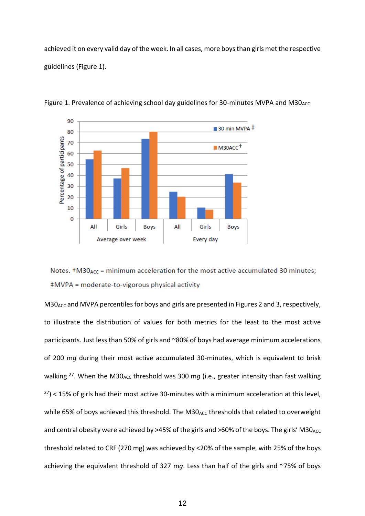achieved it on every valid day of the week. In all cases, more boys than girls met the respective guidelines (Figure 1).



Figure 1. Prevalence of achieving school day guidelines for 30-minutes MVPA and M30<sub>ACC</sub>

Notes.  $\text{\texttt{t}}$ M30<sub>ACC</sub> = minimum acceleration for the most active accumulated 30 minutes; #MVPA = moderate-to-vigorous physical activity

 $M30<sub>ACC</sub>$  and MVPA percentiles for boys and girls are presented in Figures 2 and 3, respectively, to illustrate the distribution of values for both metrics for the least to the most active participants. Just less than 50% of girls and ~80% of boys had average minimum accelerations of 200 m*g* during their most active accumulated 30-minutes, which is equivalent to brisk walking <sup>27</sup>. When the M30<sub>ACC</sub> threshold was 300 mg (i.e., greater intensity than fast walking  $27$ ) < 15% of girls had their most active 30-minutes with a minimum acceleration at this level, while 65% of boys achieved this threshold. The M30<sub>ACC</sub> thresholds that related to overweight and central obesity were achieved by  $>45\%$  of the girls and  $>60\%$  of the boys. The girls' M30<sub>ACC</sub> threshold related to CRF (270 mg) was achieved by <20% of the sample, with 25% of the boys achieving the equivalent threshold of 327 m*g*. Less than half of the girls and ~75% of boys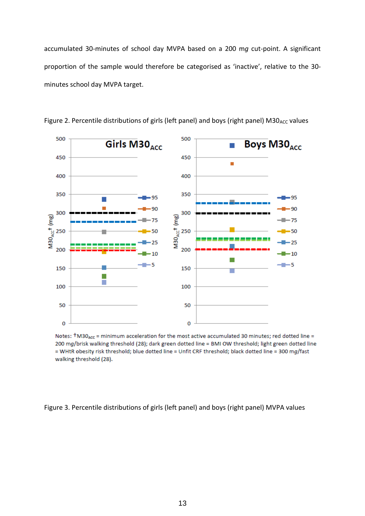accumulated 30-minutes of school day MVPA based on a 200 m*g* cut-point. A significant proportion of the sample would therefore be categorised as 'inactive', relative to the 30 minutes school day MVPA target.



Figure 2. Percentile distributions of girls (left panel) and boys (right panel)  $M30_{\text{ACC}}$  values

Notes:  $\text{\texttt{†}}\text{M30}_{\text{ACC}}$  = minimum acceleration for the most active accumulated 30 minutes; red dotted line = 200 mg/brisk walking threshold (28); dark green dotted line = BMI OW threshold; light green dotted line = WHtR obesity risk threshold; blue dotted line = Unfit CRF threshold; black dotted line = 300 mg/fast walking threshold (28).

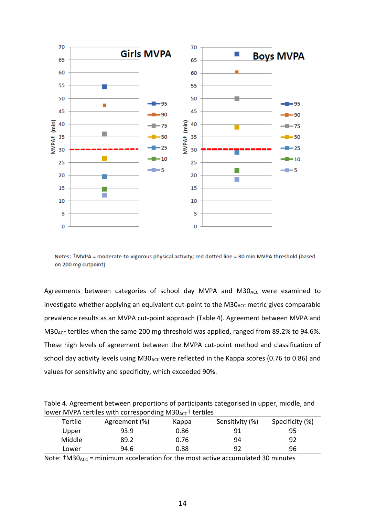

Notes: +MVPA = moderate-to-vigorous physical activity; red dotted line = 30 min MVPA threshold (based on 200 mg cutpoint)

Agreements between categories of school day MVPA and M30<sub>ACC</sub> were examined to investigate whether applying an equivalent cut-point to the M30<sub>ACC</sub> metric gives comparable prevalence results as an MVPA cut-point approach (Table 4). Agreement between MVPA and M30ACC tertiles when the same 200 m*g* threshold was applied, ranged from 89.2% to 94.6%. These high levels of agreement between the MVPA cut-point method and classification of school day activity levels using M30<sub>ACC</sub> were reflected in the Kappa scores (0.76 to 0.86) and values for sensitivity and specificity, which exceeded 90%.

Table 4. Agreement between proportions of participants categorised in upper, middle, and lower MVPA tertiles with corresponding  $M30_{AC}$ <sup>+</sup> tertiles

| Tertile | Agreement (%) | Kappa | Sensitivity (%) | Specificity (%) |
|---------|---------------|-------|-----------------|-----------------|
| Upper   | 93.9          | 0.86  | 91              | 95              |
| Middle  | 89.2          | 0.76  | 94              | 92              |
| Lower   | 94.6          | 0.88  | 92              | 96              |

Note:  $\text{tM30}_{\text{ACC}}$  = minimum acceleration for the most active accumulated 30 minutes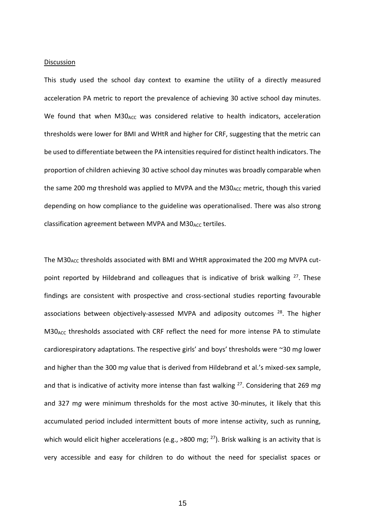#### **Discussion**

This study used the school day context to examine the utility of a directly measured acceleration PA metric to report the prevalence of achieving 30 active school day minutes. We found that when M30<sub>ACC</sub> was considered relative to health indicators, acceleration thresholds were lower for BMI and WHtR and higher for CRF, suggesting that the metric can be used to differentiate between the PA intensities required for distinct health indicators. The proportion of children achieving 30 active school day minutes was broadly comparable when the same 200 mg threshold was applied to MVPA and the M30<sub>ACC</sub> metric, though this varied depending on how compliance to the guideline was operationalised. There was also strong classification agreement between MVPA and M30<sub>ACC</sub> tertiles.

The M30<sub>ACC</sub> thresholds associated with BMI and WHtR approximated the 200 mg MVPA cutpoint reported by Hildebrand and colleagues that is indicative of brisk walking  $27$ . These findings are consistent with prospective and cross-sectional studies reporting favourable associations between objectively-assessed MVPA and adiposity outcomes <sup>28</sup>. The higher M30<sub>ACC</sub> thresholds associated with CRF reflect the need for more intense PA to stimulate cardiorespiratory adaptations. The respective girls' and boys' thresholds were ~30 m*g* lower and higher than the 300 m*g* value that is derived from Hildebrand et al.'s mixed-sex sample, and that is indicative of activity more intense than fast walking <sup>27</sup>. Considering that 269 m*g* and 327 m*g* were minimum thresholds for the most active 30-minutes, it likely that this accumulated period included intermittent bouts of more intense activity, such as running, which would elicit higher accelerations (e.g., >800 mg; <sup>27</sup>). Brisk walking is an activity that is very accessible and easy for children to do without the need for specialist spaces or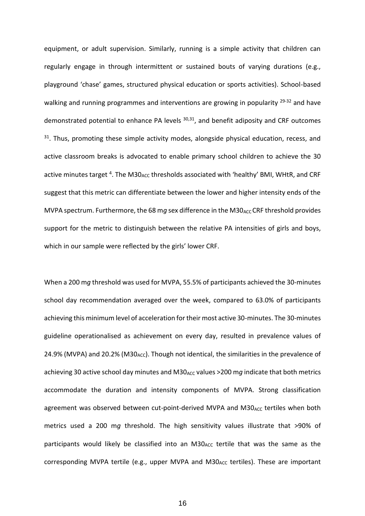equipment, or adult supervision. Similarly, running is a simple activity that children can regularly engage in through intermittent or sustained bouts of varying durations (e.g., playground 'chase' games, structured physical education or sports activities). School-based walking and running programmes and interventions are growing in popularity  $29-32$  and have demonstrated potential to enhance PA levels  $30,31$ , and benefit adiposity and CRF outcomes  $31.$  Thus, promoting these simple activity modes, alongside physical education, recess, and active classroom breaks is advocated to enable primary school children to achieve the 30 active minutes target <sup>4</sup>. The M30<sub>ACC</sub> thresholds associated with 'healthy' BMI, WHtR, and CRF suggest that this metric can differentiate between the lower and higher intensity ends of the MVPA spectrum. Furthermore, the 68 mg sex difference in the M30<sub>ACC</sub> CRF threshold provides support for the metric to distinguish between the relative PA intensities of girls and boys, which in our sample were reflected by the girls' lower CRF.

When a 200 m*g* threshold was used for MVPA, 55.5% of participants achieved the 30-minutes school day recommendation averaged over the week, compared to 63.0% of participants achieving this minimum level of acceleration for their most active 30-minutes. The 30-minutes guideline operationalised as achievement on every day, resulted in prevalence values of 24.9% (MVPA) and 20.2% (M30<sub>ACC</sub>). Though not identical, the similarities in the prevalence of achieving 30 active school day minutes and M30<sub>ACC</sub> values >200 m*g* indicate that both metrics accommodate the duration and intensity components of MVPA. Strong classification agreement was observed between cut-point-derived MVPA and M30<sub>ACC</sub> tertiles when both metrics used a 200 m*g* threshold. The high sensitivity values illustrate that >90% of participants would likely be classified into an  $M30<sub>ACC</sub>$  tertile that was the same as the corresponding MVPA tertile (e.g., upper MVPA and  $M30<sub>ACC</sub>$  tertiles). These are important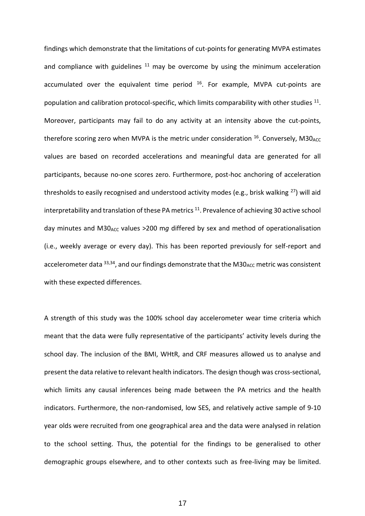findings which demonstrate that the limitations of cut-points for generating MVPA estimates and compliance with guidelines  $11$  may be overcome by using the minimum acceleration accumulated over the equivalent time period  $16$ . For example, MVPA cut-points are population and calibration protocol-specific, which limits comparability with other studies  $^{11}$ . Moreover, participants may fail to do any activity at an intensity above the cut-points, therefore scoring zero when MVPA is the metric under consideration  $^{16}$ . Conversely, M30<sub>ACC</sub> values are based on recorded accelerations and meaningful data are generated for all participants, because no-one scores zero. Furthermore, post-hoc anchoring of acceleration thresholds to easily recognised and understood activity modes (e.g., brisk walking  $^{27}$ ) will aid interpretability and translation of these PA metrics  $^{11}$ . Prevalence of achieving 30 active school day minutes and M30<sub>ACC</sub> values >200 mg differed by sex and method of operationalisation (i.e., weekly average or every day). This has been reported previously for self-report and accelerometer data  $33,34$ , and our findings demonstrate that the M30<sub>ACC</sub> metric was consistent with these expected differences.

A strength of this study was the 100% school day accelerometer wear time criteria which meant that the data were fully representative of the participants' activity levels during the school day. The inclusion of the BMI, WHtR, and CRF measures allowed us to analyse and present the data relative to relevant health indicators. The design though was cross-sectional, which limits any causal inferences being made between the PA metrics and the health indicators. Furthermore, the non-randomised, low SES, and relatively active sample of 9-10 year olds were recruited from one geographical area and the data were analysed in relation to the school setting. Thus, the potential for the findings to be generalised to other demographic groups elsewhere, and to other contexts such as free-living may be limited.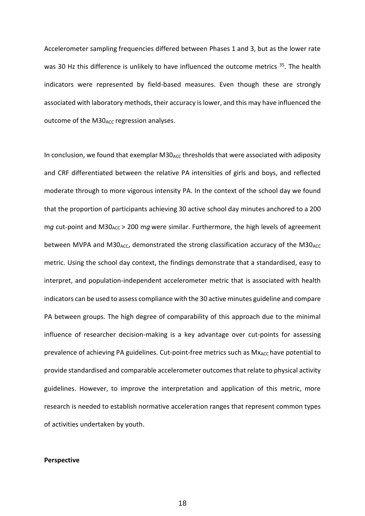Accelerometer sampling frequencies differed between Phases 1 and 3, but as the lower rate was 30 Hz this difference is unlikely to have influenced the outcome metrics <sup>35</sup>. The health indicators were represented by field-based measures. Even though these are strongly associated with laboratory methods, their accuracy islower, and this may have influenced the outcome of the M30<sub>ACC</sub> regression analyses.

In conclusion, we found that exemplar  $M30_{\text{ACC}}$  thresholds that were associated with adiposity and CRF differentiated between the relative PA intensities of girls and boys, and reflected moderate through to more vigorous intensity PA. In the context of the school day we found that the proportion of participants achieving 30 active school day minutes anchored to a 200 mg cut-point and M30<sub>ACC</sub> > 200 mg were similar. Furthermore, the high levels of agreement between MVPA and M30 $_{\text{ACC}}$ , demonstrated the strong classification accuracy of the M30 $_{\text{ACC}}$ metric. Using the school day context, the findings demonstrate that a standardised, easy to interpret, and population-independent accelerometer metric that is associated with health indicators can be used to assess compliance with the 30 active minutes guideline and compare PA between groups. The high degree of comparability of this approach due to the minimal influence of researcher decision-making is a key advantage over cut-points for assessing prevalence of achieving PA guidelines. Cut-point-free metrics such as Mx<sub>ACC</sub> have potential to provide standardised and comparable accelerometer outcomes that relate to physical activity guidelines. However, to improve the interpretation and application of this metric, more research is needed to establish normative acceleration ranges that represent common types of activities undertaken by youth.

#### **Perspective**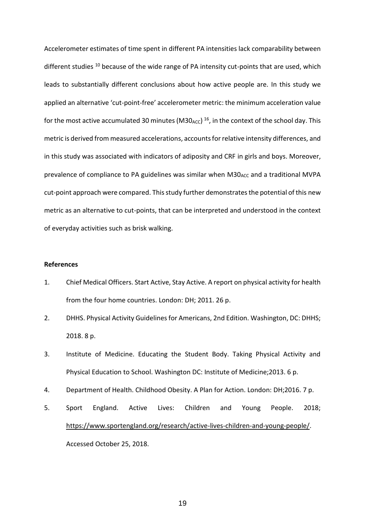Accelerometer estimates of time spent in different PA intensities lack comparability between different studies <sup>10</sup> because of the wide range of PA intensity cut-points that are used, which leads to substantially different conclusions about how active people are. In this study we applied an alternative 'cut-point-free' accelerometer metric: the minimum acceleration value for the most active accumulated 30 minutes (M30<sub>ACC</sub>)<sup>16</sup>, in the context of the school day. This metric is derived from measured accelerations, accounts for relative intensity differences, and in this study was associated with indicators of adiposity and CRF in girls and boys. Moreover, prevalence of compliance to PA guidelines was similar when M30<sub>ACC</sub> and a traditional MVPA cut-point approach were compared. This study further demonstrates the potential of this new metric as an alternative to cut-points, that can be interpreted and understood in the context of everyday activities such as brisk walking.

## **References**

- 1. Chief Medical Officers. Start Active, Stay Active. A report on physical activity for health from the four home countries. London: DH; 2011. 26 p.
- 2. DHHS. Physical Activity Guidelines for Americans, 2nd Edition. Washington, DC: DHHS; 2018. 8 p.
- 3. Institute of Medicine. Educating the Student Body. Taking Physical Activity and Physical Education to School. Washington DC: Institute of Medicine;2013. 6 p.
- 4. Department of Health. Childhood Obesity. A Plan for Action. London: DH;2016. 7 p.
- 5. Sport England. Active Lives: Children and Young People. 2018; [https://www.sportengland.org/research/active-lives-children-and-young-people/.](https://www.sportengland.org/research/active-lives-children-and-young-people/) Accessed October 25, 2018.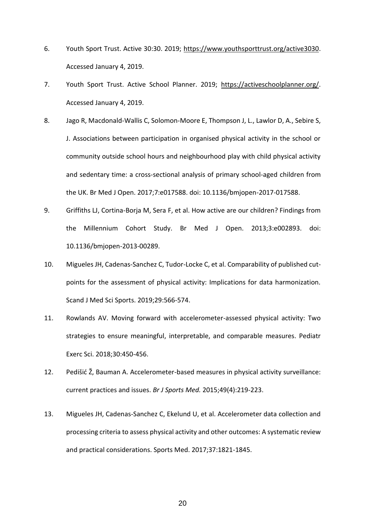- 6. Youth Sport Trust. Active 30:30. 2019; [https://www.youthsporttrust.org/active3030.](https://www.youthsporttrust.org/active3030) Accessed January 4, 2019.
- 7. Youth Sport Trust. Active School Planner. 2019; [https://activeschoolplanner.org/.](https://activeschoolplanner.org/) Accessed January 4, 2019.
- 8. Jago R, Macdonald-Wallis C, Solomon-Moore E, Thompson J, L., Lawlor D, A., Sebire S, J. Associations between participation in organised physical activity in the school or community outside school hours and neighbourhood play with child physical activity and sedentary time: a cross-sectional analysis of primary school-aged children from the UK. Br Med J Open. 2017;7:e017588. doi: 10.1136/bmjopen-2017-017588.
- 9. Griffiths LJ, Cortina-Borja M, Sera F, et al. How active are our children? Findings from the Millennium Cohort Study. Br Med J Open. 2013;3:e002893. doi: 10.1136/bmjopen-2013-00289.
- 10. Migueles JH, Cadenas-Sanchez C, Tudor-Locke C, et al. Comparability of published cutpoints for the assessment of physical activity: Implications for data harmonization. Scand J Med Sci Sports. 2019;29:566-574.
- 11. Rowlands AV. Moving forward with accelerometer-assessed physical activity: Two strategies to ensure meaningful, interpretable, and comparable measures. Pediatr Exerc Sci. 2018;30:450-456.
- 12. Pedišić Ž, Bauman A. Accelerometer-based measures in physical activity surveillance: current practices and issues. *Br J Sports Med.* 2015;49(4):219-223.
- 13. Migueles JH, Cadenas-Sanchez C, Ekelund U, et al. Accelerometer data collection and processing criteria to assess physical activity and other outcomes: A systematic review and practical considerations. Sports Med. 2017;37:1821-1845.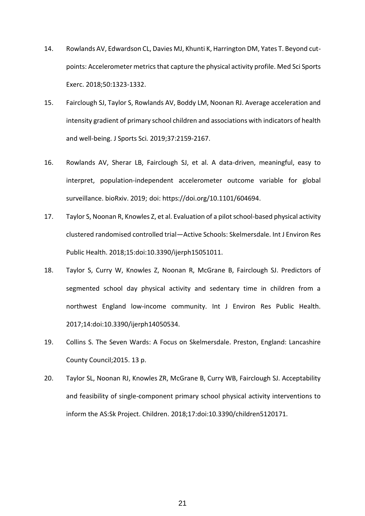- 14. Rowlands AV, Edwardson CL, Davies MJ, Khunti K, Harrington DM, Yates T. Beyond cutpoints: Accelerometer metrics that capture the physical activity profile. Med Sci Sports Exerc. 2018;50:1323-1332.
- 15. Fairclough SJ, Taylor S, Rowlands AV, Boddy LM, Noonan RJ. Average acceleration and intensity gradient of primary school children and associations with indicators of health and well-being. J Sports Sci*.* 2019;37:2159-2167.
- 16. Rowlands AV, Sherar LB, Fairclough SJ, et al. A data-driven, meaningful, easy to interpret, population-independent accelerometer outcome variable for global surveillance. bioRxiv. 2019; doi: https://doi.org/10.1101/604694.
- 17. Taylor S, Noonan R, Knowles Z, et al. Evaluation of a pilot school-based physical activity clustered randomised controlled trial—Active Schools: Skelmersdale. Int J Environ Res Public Health. 2018;15:doi:10.3390/ijerph15051011.
- 18. Taylor S, Curry W, Knowles Z, Noonan R, McGrane B, Fairclough SJ. Predictors of segmented school day physical activity and sedentary time in children from a northwest England low-income community. Int J Environ Res Public Health. 2017;14:doi:10.3390/ijerph14050534.
- 19. Collins S. The Seven Wards: A Focus on Skelmersdale. Preston, England: Lancashire County Council;2015. 13 p.
- 20. Taylor SL, Noonan RJ, Knowles ZR, McGrane B, Curry WB, Fairclough SJ. Acceptability and feasibility of single-component primary school physical activity interventions to inform the AS:Sk Project. Children. 2018;17:doi:10.3390/children5120171.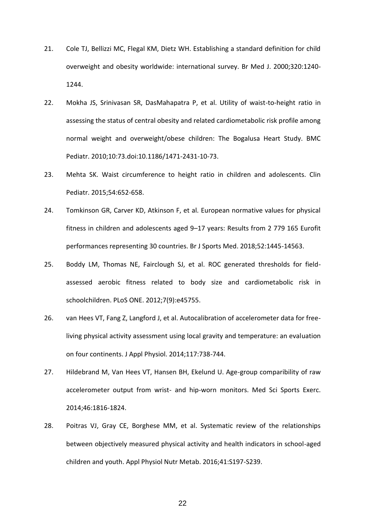- 21. Cole TJ, Bellizzi MC, Flegal KM, Dietz WH. Establishing a standard definition for child overweight and obesity worldwide: international survey. Br Med J. 2000;320:1240- 1244.
- 22. Mokha JS, Srinivasan SR, DasMahapatra P, et al. Utility of waist-to-height ratio in assessing the status of central obesity and related cardiometabolic risk profile among normal weight and overweight/obese children: The Bogalusa Heart Study. BMC Pediatr. 2010;10:73.doi:10.1186/1471-2431-10-73.
- 23. Mehta SK. Waist circumference to height ratio in children and adolescents. Clin Pediatr. 2015;54:652-658.
- 24. Tomkinson GR, Carver KD, Atkinson F, et al. European normative values for physical fitness in children and adolescents aged 9–17 years: Results from 2 779 165 Eurofit performances representing 30 countries. Br J Sports Med. 2018;52:1445-14563.
- 25. Boddy LM, Thomas NE, Fairclough SJ, et al. ROC generated thresholds for fieldassessed aerobic fitness related to body size and cardiometabolic risk in schoolchildren. PLoS ONE. 2012;7(9):e45755.
- 26. van Hees VT, Fang Z, Langford J, et al. Autocalibration of accelerometer data for freeliving physical activity assessment using local gravity and temperature: an evaluation on four continents. J Appl Physiol. 2014;117:738-744.
- 27. Hildebrand M, Van Hees VT, Hansen BH, Ekelund U. Age-group comparibility of raw accelerometer output from wrist- and hip-worn monitors. Med Sci Sports Exerc. 2014;46:1816-1824.
- 28. Poitras VJ, Gray CE, Borghese MM, et al. Systematic review of the relationships between objectively measured physical activity and health indicators in school-aged children and youth. Appl Physiol Nutr Metab. 2016;41:S197-S239.